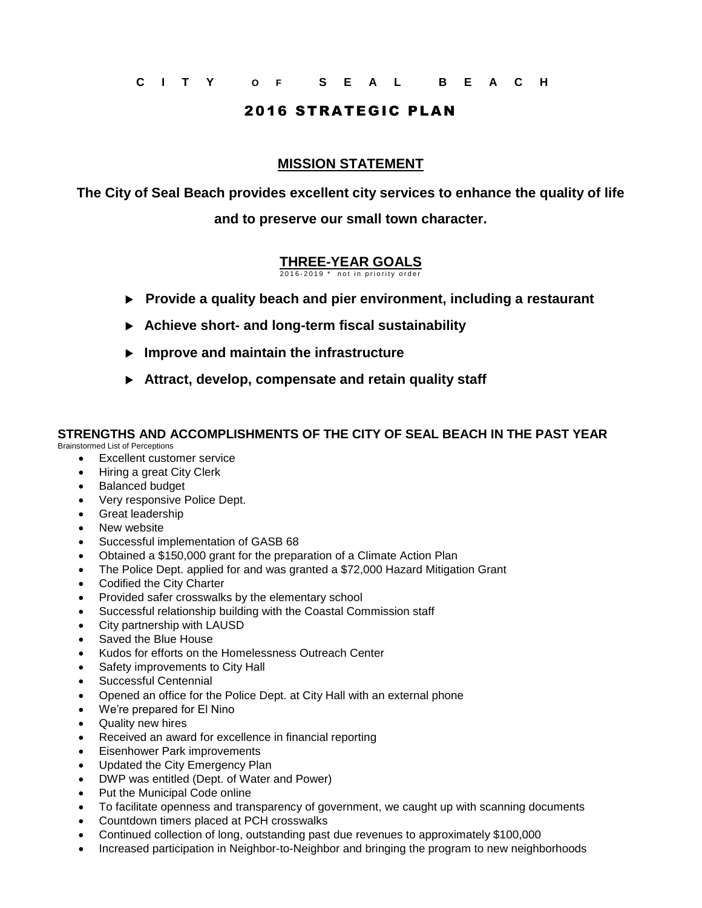**C I T Y O F S E A L B E A C H**

## 2016 STRATEGIC PLAN

## **MISSION STATEMENT**

**The City of Seal Beach provides excellent city services to enhance the quality of life and to preserve our small town character.**

## **THREE-YEAR GOALS**  $2016 - 2019$  \* not in priority order

**Provide a quality beach and pier environment, including a restaurant**

- **Achieve short- and long-term fiscal sustainability**
- **Improve and maintain the infrastructure**
- **Attract, develop, compensate and retain quality staff**

## **STRENGTHS AND ACCOMPLISHMENTS OF THE CITY OF SEAL BEACH IN THE PAST YEAR**

Brainstormed List of Perceptions

- Excellent customer service
- Hiring a great City Clerk
- Balanced budget
- Very responsive Police Dept.
- Great leadership
- New website
- Successful implementation of GASB 68
- Obtained a \$150,000 grant for the preparation of a Climate Action Plan
- The Police Dept. applied for and was granted a \$72,000 Hazard Mitigation Grant
- Codified the City Charter
- Provided safer crosswalks by the elementary school
- Successful relationship building with the Coastal Commission staff
- City partnership with LAUSD
- Saved the Blue House
- Kudos for efforts on the Homelessness Outreach Center
- Safety improvements to City Hall
- Successful Centennial
- Opened an office for the Police Dept. at City Hall with an external phone
- We're prepared for El Nino
- Quality new hires
- Received an award for excellence in financial reporting
- Eisenhower Park improvements
- Updated the City Emergency Plan
- DWP was entitled (Dept. of Water and Power)
- Put the Municipal Code online
- To facilitate openness and transparency of government, we caught up with scanning documents
- Countdown timers placed at PCH crosswalks
- Continued collection of long, outstanding past due revenues to approximately \$100,000
- Increased participation in Neighbor-to-Neighbor and bringing the program to new neighborhoods